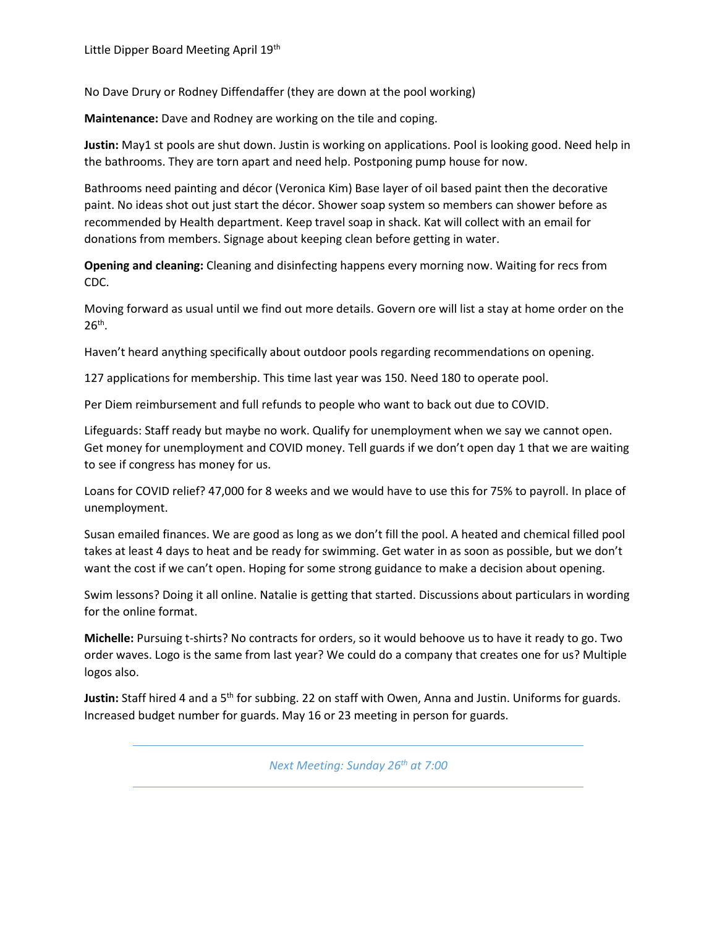No Dave Drury or Rodney Diffendaffer (they are down at the pool working)

**Maintenance:** Dave and Rodney are working on the tile and coping.

**Justin:** May1 st pools are shut down. Justin is working on applications. Pool is looking good. Need help in the bathrooms. They are torn apart and need help. Postponing pump house for now.

Bathrooms need painting and décor (Veronica Kim) Base layer of oil based paint then the decorative paint. No ideas shot out just start the décor. Shower soap system so members can shower before as recommended by Health department. Keep travel soap in shack. Kat will collect with an email for donations from members. Signage about keeping clean before getting in water.

**Opening and cleaning:** Cleaning and disinfecting happens every morning now. Waiting for recs from CDC.

Moving forward as usual until we find out more details. Govern ore will list a stay at home order on the  $26<sup>th</sup>$ .

Haven't heard anything specifically about outdoor pools regarding recommendations on opening.

127 applications for membership. This time last year was 150. Need 180 to operate pool.

Per Diem reimbursement and full refunds to people who want to back out due to COVID.

Lifeguards: Staff ready but maybe no work. Qualify for unemployment when we say we cannot open. Get money for unemployment and COVID money. Tell guards if we don't open day 1 that we are waiting to see if congress has money for us.

Loans for COVID relief? 47,000 for 8 weeks and we would have to use this for 75% to payroll. In place of unemployment.

Susan emailed finances. We are good as long as we don't fill the pool. A heated and chemical filled pool takes at least 4 days to heat and be ready for swimming. Get water in as soon as possible, but we don't want the cost if we can't open. Hoping for some strong guidance to make a decision about opening.

Swim lessons? Doing it all online. Natalie is getting that started. Discussions about particulars in wording for the online format.

**Michelle:** Pursuing t-shirts? No contracts for orders, so it would behoove us to have it ready to go. Two order waves. Logo is the same from last year? We could do a company that creates one for us? Multiple logos also.

**Justin:** Staff hired 4 and a 5th for subbing. 22 on staff with Owen, Anna and Justin. Uniforms for guards. Increased budget number for guards. May 16 or 23 meeting in person for guards.

*Next Meeting: Sunday 26th at 7:00*